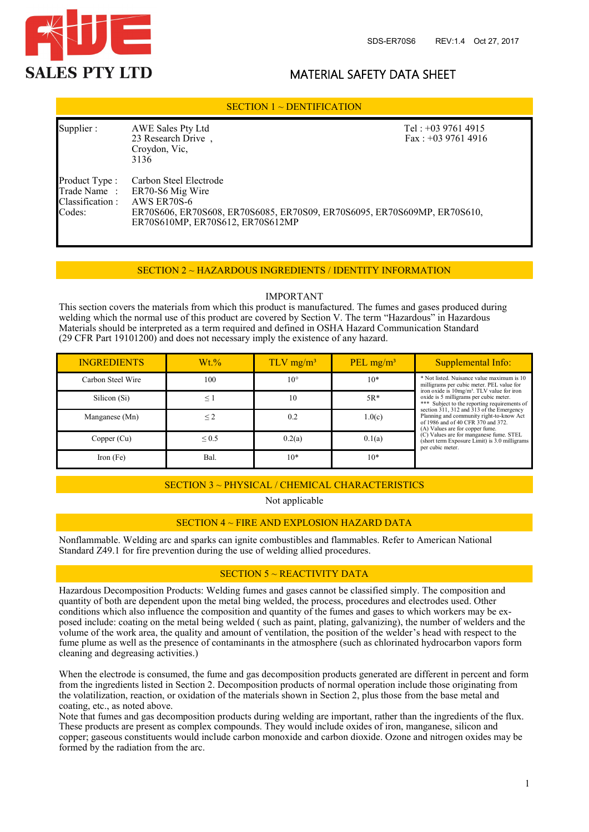

# MATERIAL SAFETY DATA SHEET

### SECTION 1 ~ DENTIFICATION

| Supplier:                                   | AWE Sales Pty Ltd<br>23 Research Drive,<br>Croydon, Vic,<br>3136                                                                                                                      | Tel: $+0397614915$<br>Fax: $+0397614916$ |  |
|---------------------------------------------|---------------------------------------------------------------------------------------------------------------------------------------------------------------------------------------|------------------------------------------|--|
| Product Type :<br>Classification:<br>Codes: | Carbon Steel Electrode<br>Trade Name: ER70-S6 Mig Wire<br>AWS ER70S-6<br>ER70S606, ER70S608, ER70S6085, ER70S09, ER70S6095, ER70S609MP, ER70S610,<br>ER70S610MP, ER70S612, ER70S612MP |                                          |  |

#### SECTION 2 ~ HAZARDOUS INGREDIENTS / IDENTITY INFORMATION

#### IMPORTANT

This section covers the materials from which this product is manufactured. The fumes and gases produced during welding which the normal use of this product are covered by Section V. The term "Hazardous" in Hazardous Materials should be interpreted as a term required and defined in OSHA Hazard Communication Standard (29 CFR Part 19101200) and does not necessary imply the existence of any hazard.

| <b>INGREDIENTS</b> | $Wt.\%$    | $TLV$ mg/m <sup>3</sup> | PEL $mg/m^3$ | Supplemental Info:                                                                                                                                                                                                                                                                                                                                                                                            |  |
|--------------------|------------|-------------------------|--------------|---------------------------------------------------------------------------------------------------------------------------------------------------------------------------------------------------------------------------------------------------------------------------------------------------------------------------------------------------------------------------------------------------------------|--|
| Carbon Steel Wire  | 100        | $10^{\circ}$            | $10*$        | * Not listed. Nuisance value maximum is 10<br>milligrams per cubic meter. PEL value for<br>iron oxide is 10mg/m <sup>3</sup> . TLV value for iron<br>oxide is 5 milligrams per cubic meter.<br>*** Subject to the reporting requirements of<br>section 311, 312 and 313 of the Emergency<br>Planning and community right-to-know Act<br>of 1986 and of 40 CFR 370 and 372.<br>(A) Values are for copper fume. |  |
| Silicon (Si)       | $\leq$ 1   | 10                      | $5R*$        |                                                                                                                                                                                                                                                                                                                                                                                                               |  |
| Manganese (Mn)     | $\leq$ 2   | 0.2                     | 1.0(c)       |                                                                                                                                                                                                                                                                                                                                                                                                               |  |
| Copper (Cu)        | ${}_{0.5}$ | 0.2(a)                  | 0.1(a)       | $(C)$ Values are for manganese fume. STEL<br>(short term Exposure Limit) is 3.0 milligrams<br>per cubic meter.                                                                                                                                                                                                                                                                                                |  |
| Iron $(Fe)$        | Bal.       | $10*$                   | $10*$        |                                                                                                                                                                                                                                                                                                                                                                                                               |  |

# SECTION 3 ~ PHYSICAL / CHEMICAL CHARACTERISTICS

Not applicable

#### SECTION 4 ~ FIRE AND EXPLOSION HAZARD DATA

Nonflammable. Welding arc and sparks can ignite combustibles and flammables. Refer to American National Standard Z49.1 for fire prevention during the use of welding allied procedures.

# SECTION 5 ~ REACTIVITY DATA

Hazardous Decomposition Products: Welding fumes and gases cannot be classified simply. The composition and quantity of both are dependent upon the metal bing welded, the process, procedures and electrodes used. Other conditions which also influence the composition and quantity of the fumes and gases to which workers may be exposed include: coating on the metal being welded ( such as paint, plating, galvanizing), the number of welders and the volume of the work area, the quality and amount of ventilation, the position of the welder's head with respect to the fume plume as well as the presence of contaminants in the atmosphere (such as chlorinated hydrocarbon vapors form cleaning and degreasing activities.)

When the electrode is consumed, the fume and gas decomposition products generated are different in percent and form from the ingredients listed in Section 2. Decomposition products of normal operation include those originating from the volatilization, reaction, or oxidation of the materials shown in Section 2, plus those from the base metal and coating, etc., as noted above.

Note that fumes and gas decomposition products during welding are important, rather than the ingredients of the flux. These products are present as complex compounds. They would include oxides of iron, manganese, silicon and copper; gaseous constituents would include carbon monoxide and carbon dioxide. Ozone and nitrogen oxides may be formed by the radiation from the arc.